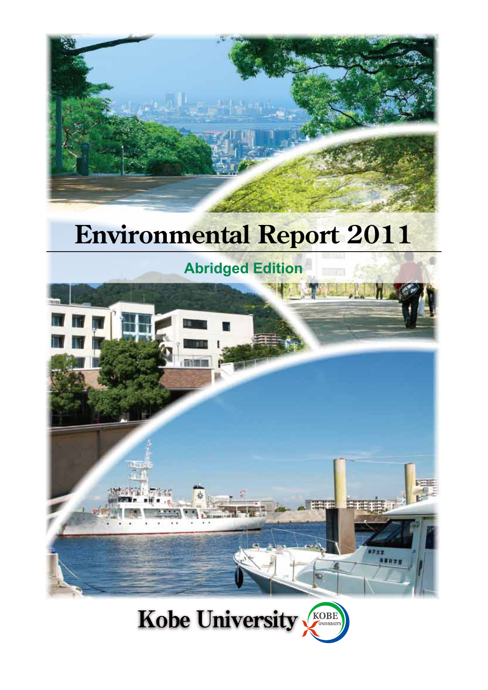

# **Environmental Report 2011**



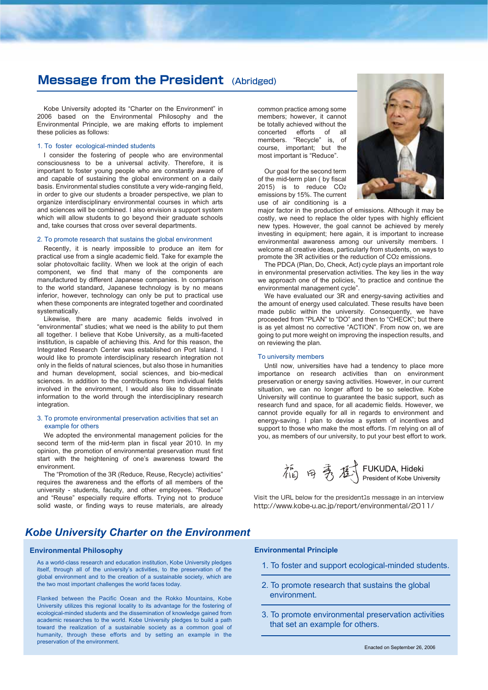## **Message from the President** (Abridged)

Kobe University adopted its "Charter on the Environment" in 2006 based on the Environmental Philosophy and the Environmental Principle, we are making efforts to implement these policies as follows:

#### 1. To foster ecological-minded students

I consider the fostering of people who are environmental consciousness to be a universal activity. Therefore, it is important to foster young people who are constantly aware of and capable of sustaining the global environment on a daily basis. Environmental studies constitute a very wide-ranging field, in order to give our students a broader perspective, we plan to organize interdisciplinary environmental courses in which arts and sciences will be combined. I also envision a support system which will allow students to go beyond their graduate schools and, take courses that cross over several departments.

#### 2. To promote research that sustains the global environment

Recently, it is nearly impossible to produce an item for practical use from a single academic field. Take for example the solar photovoltaic facility. When we look at the origin of each component, we find that many of the components are manufactured by different Japanese companies. In comparison to the world standard, Japanese technology is by no means inferior, however, technology can only be put to practical use when these components are integrated together and coordinated systematically.

Likewise, there are many academic fields involved in "environmental" studies; what we need is the ability to put them all together. I believe that Kobe University, as a multi-faceted institution, is capable of achieving this. And for this reason, the Integrated Research Center was established on Port Island. I would like to promote interdisciplinary research integration not only in the fields of natural sciences, but also those in humanities and human development, social sciences, and bio-medical sciences. In addition to the contributions from individual fields involved in the environment, I would also like to disseminate information to the world through the interdisciplinary research integration.

#### 3. To promote environmental preservation activities that set an example for others

We adopted the environmental management policies for the second term of the mid-term plan in fiscal year 2010. In my opinion, the promotion of environmental preservation must first start with the heightening of one's awareness toward the environment.

The "Promotion of the 3R (Reduce, Reuse, Recycle) activities" requires the awareness and the efforts of all members of the university - students, faculty, and other employees. "Reduce" and "Reuse" especially require efforts. Trying not to produce solid waste, or finding ways to reuse materials, are already

### *Kobe University Charter on the Environment*

#### **Environmental Philosophy**

As a world-class research and education institution, Kobe University pledges itself, through all of the university's activities, to the preservation of the global environment and to the creation of a sustainable society, which are the two most important challenges the world faces today.

Flanked between the Pacific Ocean and the Rokko Mountains, Kobe University utilizes this regional locality to its advantage for the fostering of ecological-minded students and the dissemination of knowledge gained from academic researches to the world. Kobe University pledges to build a path toward the realization of a sustainable society as a common goal of humanity, through these efforts and by setting an example in the preservation of the environment.

common practice among some members; however, it cannot be totally achieved without the concerted efforts of all members. "Recycle" is, of course, important; but the most important is "Reduce".

Our goal for the second term of the mid-term plan ( by fiscal 2015) is to reduce CO2 emissions by 15%. The current use of air conditioning is a



major factor in the production of emissions. Although it may be costly, we need to replace the older types with highly efficient new types. However, the goal cannot be achieved by merely investing in equipment; here again, it is important to increase environmental awareness among our university members. I welcome all creative ideas, particularly from students, on ways to promote the 3R activities or the reduction of CO2 emissions.

The PDCA (Plan, Do, Check, Act) cycle plays an important role in environmental preservation activities. The key lies in the way we approach one of the policies, "to practice and continue the environmental management cycle".

We have evaluated our 3R and energy-saving activities and the amount of energy used calculated. These results have been made public within the university. Consequently, we have proceeded from "PLAN" to "DO" and then to "CHECK"; but there is as yet almost no corrective "ACTION". From now on, we are going to put more weight on improving the inspection results, and on reviewing the plan.

#### To university members

Until now, universities have had a tendency to place more importance on research activities than on environment preservation or energy saving activities. However, in our current situation, we can no longer afford to be so selective. Kobe University will continue to guarantee the basic support, such as research fund and space, for all academic fields. However, we cannot provide equally for all in regards to environment and energy-saving. I plan to devise a system of incentives and support to those who make the most efforts. I'm relying on all of you, as members of our university, to put your best effort to work.



Visit the URL below for the president1s message in an interview http://www.kobe-u.ac.jp/report/environmental/2011/

#### **Environmental Principle**

- 1. To foster and support ecological-minded students.
- 2. To promote research that sustains the global environment.
- 3. To promote environmental preservation activities that set an example for others.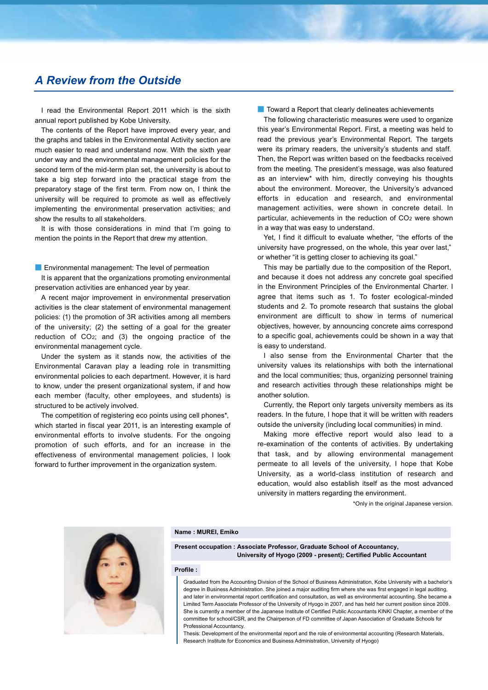## *A Review from the Outside*

I read the Environmental Report 2011 which is the sixth annual report published by Kobe University.

The contents of the Report have improved every year, and the graphs and tables in the Environmental Activity section are much easier to read and understand now. With the sixth year under way and the environmental management policies for the second term of the mid-term plan set, the university is about to take a big step forward into the practical stage from the preparatory stage of the first term. From now on, I think the university will be required to promote as well as effectively implementing the environmental preservation activities; and show the results to all stakeholders.

It is with those considerations in mind that I'm going to mention the points in the Report that drew my attention.

■ Environmental management: The level of permeation It is apparent that the organizations promoting environmental preservation activities are enhanced year by year.

A recent major improvement in environmental preservation activities is the clear statement of environmental management policies: (1) the promotion of 3R activities among all members of the university; (2) the setting of a goal for the greater reduction of CO2; and (3) the ongoing practice of the environmental management cycle.

Under the system as it stands now, the activities of the Environmental Caravan play a leading role in transmitting environmental policies to each department. However, it is hard to know, under the present organizational system, if and how each member (faculty, other employees, and students) is structured to be actively involved.

The competition of registering eco points using cell phones\*, which started in fiscal year 2011, is an interesting example of environmental efforts to involve students. For the ongoing promotion of such efforts, and for an increase in the effectiveness of environmental management policies, I look forward to further improvement in the organization system.

■ Toward a Report that clearly delineates achievements

The following characteristic measures were used to organize this year's Environmental Report. First, a meeting was held to read the previous year's Environmental Report. The targets were its primary readers, the university's students and staff. Then, the Report was written based on the feedbacks received from the meeting. The president's message, was also featured as an interview\* with him, directly conveying his thoughts about the environment. Moreover, the University's advanced efforts in education and research, and environmental management activities, were shown in concrete detail. In particular, achievements in the reduction of CO2 were shown in a way that was easy to understand.

Yet, I find it difficult to evaluate whether, "the efforts of the university have progressed, on the whole, this year over last," or whether "it is getting closer to achieving its goal."

This may be partially due to the composition of the Report, and because it does not address any concrete goal specified in the Environment Principles of the Environmental Charter. I agree that items such as 1. To foster ecological-minded students and 2. To promote research that sustains the global environment are difficult to show in terms of numerical objectives, however, by announcing concrete aims correspond to a specific goal, achievements could be shown in a way that is easy to understand.

I also sense from the Environmental Charter that the university values its relationships with both the international and the local communities; thus, organizing personnel training and research activities through these relationships might be another solution.

Currently, the Report only targets university members as its readers. In the future, I hope that it will be written with readers outside the university (including local communities) in mind.

Making more effective report would also lead to a re-examination of the contents of activities. By undertaking that task, and by allowing environmental management permeate to all levels of the university, I hope that Kobe University, as a world-class institution of research and education, would also establish itself as the most advanced university in matters regarding the environment.

\*Only in the original Japanese version.



#### **Name : MUREI, Emiko**

**Present occupation : Associate Professor, Graduate School of Accountancy, University of Hyogo (2009 - present); Certified Public Accountant**

#### **Profile :**

Graduated from the Accounting Division of the School of Business Administration, Kobe University with a bachelor's degree in Business Administration. She joined a major auditing firm where she was first engaged in legal auditing and later in environmental report certification and consultation, as well as environmental accounting. She became a Limited Term Associate Professor of the University of Hyogo in 2007, and has held her current position since 2009. She is currently a member of the Japanese Institute of Certified Public Accountants KINKI Chapter, a member of the committee for school/CSR, and the Chairperson of FD committee of Japan Association of Graduate Schools for Professional Accountancy.

Thesis: Development of the environmental report and the role of environmental accounting (Research Materials, Research Institute for Economics and Business Administration, University of Hyogo)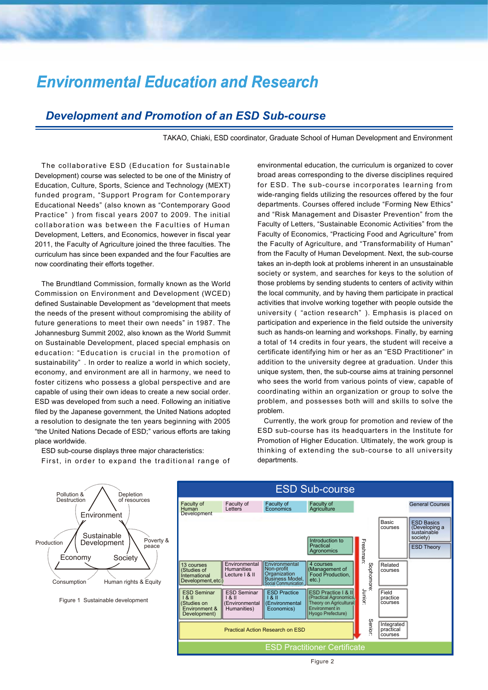## *Environmental Education and Research*

## *Development and Promotion of an ESD Sub-course*

TAKAO, Chiaki, ESD coordinator, Graduate School of Human Development and Environment

The collaborative ESD (Education for Sustainable Development) course was selected to be one of the Ministry of Education, Culture, Sports, Science and Technology (MEXT) funded program, "Support Program for Contemporary Educational Needs" (also known as "Contemporary Good Practice" ) from fiscal years 2007 to 2009. The initial collaboration was between the Faculties of Human Development, Letters, and Economics, however in fiscal year 2011, the Faculty of Agriculture joined the three faculties. The curriculum has since been expanded and the four Faculties are now coordinating their efforts together.

The Brundtland Commission, formally known as the World Commission on Environment and Development (WCED) defined Sustainable Development as "development that meets the needs of the present without compromising the ability of future generations to meet their own needs" in 1987. The Johannesburg Summit 2002, also known as the World Summit on Sustainable Development, placed special emphasis on education: "Education is crucial in the promotion of sustainability" . In order to realize a world in which society, economy, and environment are all in harmony, we need to foster citizens who possess a global perspective and are capable of using their own ideas to create a new social order. ESD was developed from such a need. Following an initiative filed by the Japanese government, the United Nations adopted a resolution to designate the ten years beginning with 2005 "the United Nations Decade of ESD;" various efforts are taking place worldwide.

ESD sub-course displays three major characteristics: First, in order to expand the traditional range of environmental education, the curriculum is organized to cover broad areas corresponding to the diverse disciplines required for ESD. The sub-course incorporates learning from wide-ranging fields utilizing the resources offered by the four departments. Courses offered include "Forming New Ethics" and "Risk Management and Disaster Prevention" from the Faculty of Letters, "Sustainable Economic Activities" from the Faculty of Economics, "Practicing Food and Agriculture" from the Faculty of Agriculture, and "Transformability of Human" from the Faculty of Human Development. Next, the sub-course takes an in-depth look at problems inherent in an unsustainable society or system, and searches for keys to the solution of those problems by sending students to centers of activity within the local community, and by having them participate in practical activities that involve working together with people outside the university ( "action research" ). Emphasis is placed on participation and experience in the field outside the university such as hands-on learning and workshops. Finally, by earning a total of 14 credits in four years, the student will receive a certificate identifying him or her as an "ESD Practitioner" in addition to the university degree at graduation. Under this unique system, then, the sub-course aims at training personnel who sees the world from various points of view, capable of coordinating within an organization or group to solve the problem, and possesses both will and skills to solve the problem.

Currently, the work group for promotion and review of the ESD sub-course has its headquarters in the Institute for Promotion of Higher Education. Ultimately, the work group is thinking of extending the sub-course to all university departments.

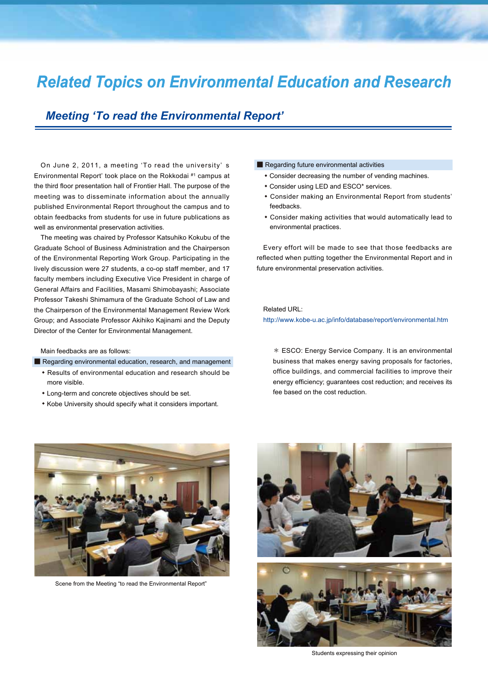## *Related Topics on Environmental Education and Research*

## *Meeting 'To read the Environmental Report'*

On June 2, 2011, a meeting 'To read the university' s Environmental Report' took place on the Rokkodai #1 campus at the third floor presentation hall of Frontier Hall. The purpose of the meeting was to disseminate information about the annually published Environmental Report throughout the campus and to obtain feedbacks from students for use in future publications as well as environmental preservation activities.

The meeting was chaired by Professor Katsuhiko Kokubu of the Graduate School of Business Administration and the Chairperson of the Environmental Reporting Work Group. Participating in the lively discussion were 27 students, a co-op staff member, and 17 faculty members including Executive Vice President in charge of General Affairs and Facilities, Masami Shimobayashi; Associate Professor Takeshi Shimamura of the Graduate School of Law and the Chairperson of the Environmental Management Review Work Group; and Associate Professor Akihiko Kajinami and the Deputy Director of the Center for Environmental Management.

#### Main feedbacks are as follows:

#### ■ Regarding environmental education, research, and management

- ・ Results of environmental education and research should be more visible.
- ・ Long-term and concrete objectives should be set.
- ・ Kobe University should specify what it considers important.

#### ■ Regarding future environmental activities

- ・ Consider decreasing the number of vending machines.
- ・ Consider using LED and ESCO\* services.
- ・ Consider making an Environmental Report from students' feedbacks.
- ・ Consider making activities that would automatically lead to environmental practices.

Every effort will be made to see that those feedbacks are reflected when putting together the Environmental Report and in future environmental preservation activities.

Related URL:

http://www.kobe-u.ac.jp/info/database/report/environmental.htm

\* ESCO: Energy Service Company. It is an environmental business that makes energy saving proposals for factories, office buildings, and commercial facilities to improve their energy efficiency; guarantees cost reduction; and receives its fee based on the cost reduction.



Scene from the Meeting "to read the Environmental Report"



Students expressing their opinion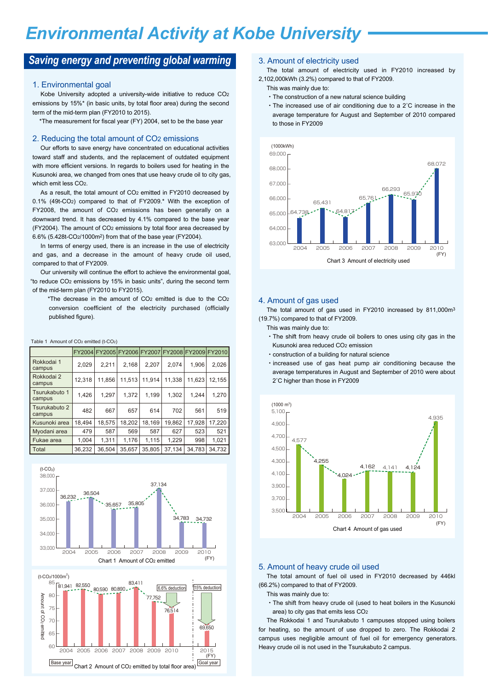## *Environmental Activity at Kobe University*

## **Saving energy and preventing global warming** 3. Amount of electricity used

#### 1. Environmental goal

Kobe University adopted a university-wide initiative to reduce CO2 emissions by 15%\* (in basic units, by total floor area) during the second term of the mid-term plan (FY2010 to 2015).

\*The measurement for fiscal year (FY) 2004, set to be the base year

#### 2. Reducing the total amount of CO2 emissions

Our efforts to save energy have concentrated on educational activities toward staff and students, and the replacement of outdated equipment with more efficient versions. In regards to boilers used for heating in the Kusunoki area, we changed from ones that use heavy crude oil to city gas, which emit less CO2.

As a result, the total amount of CO<sub>2</sub> emitted in FY2010 decreased by 0.1% (49t-CO2) compared to that of FY2009.\* With the exception of FY2008, the amount of CO2 emissions has been generally on a downward trend. It has decreased by 4.1% compared to the base year (FY2004). The amount of CO2 emissions by total floor area decreased by 6.6% (5.428t-CO2/1000m2) from that of the base year (FY2004).

In terms of energy used, there is an increase in the use of electricity and gas, and a decrease in the amount of heavy crude oil used, compared to that of FY2009.

Our university will continue the effort to achieve the environmental goal, "to reduce CO2 emissions by 15% in basic units", during the second term of the mid-term plan (FY2010 to FY2015).

\*The decrease in the amount of CO2 emitted is due to the CO2 conversion coefficient of the electricity purchased (officially published figure).

|  | Table 1 Amount of CO <sub>2</sub> emitted (t-CO <sub>2</sub> ) |        |                                                  |        |        |        |        |        |  |  |
|--|----------------------------------------------------------------|--------|--------------------------------------------------|--------|--------|--------|--------|--------|--|--|
|  |                                                                |        | FY2004 FY2005 FY2006 FY2007 FY2008 FY2009 FY2010 |        |        |        |        |        |  |  |
|  | Rokkodai 1<br>campus                                           | 2,029  | 2.211                                            | 2.168  | 2.207  | 2.074  | 1.906  | 2,026  |  |  |
|  | Rokkodai 2<br>campus                                           | 12,318 | 11,856                                           | 11,513 | 11.914 | 11,338 | 11,623 | 12,155 |  |  |
|  | Tsurukabuto 1<br>campus                                        | 1.426  | 1.297                                            | 1.372  | 1.199  | 1,302  | 1.244  | 1.270  |  |  |
|  | Tsurukabuto 2<br>campus                                        | 482    | 667                                              | 657    | 614    | 702    | 561    | 519    |  |  |
|  | Kusunoki area                                                  | 18,494 | 18,575                                           | 18,202 | 18.169 | 19,862 | 17,928 | 17,220 |  |  |
|  | Myodani area                                                   | 479    | 587                                              | 569    | 587    | 627    | 523    | 521    |  |  |
|  | Fukae area                                                     | 1.004  | 1.311                                            | 1.176  | 1,115  | 1.229  | 998    | 1.021  |  |  |

36,232 36,504

Total



35,657

35,805 37,134

34,783 34,732



The total amount of electricity used in FY2010 increased by 2,102,000kWh (3.2%) compared to that of FY2009.

- This was mainly due to:
- ・The construction of a new natural science building
- ・The increased use of air conditioning due to a 2˚C increase in the average temperature for August and September of 2010 compared to those in FY2009



#### 4. Amount of gas used

The total amount of gas used in FY2010 increased by 811,000m<sup>3</sup> (19.7%) compared to that of FY2009.

- This was mainly due to:
- ・The shift from heavy crude oil boilers to ones using city gas in the Kusunoki area reduced CO2 emission
- ・construction of a building for natural science
- ・increased use of gas heat pump air conditioning because the average temperatures in August and September of 2010 were about 2˚C higher than those in FY2009



#### 5. Amount of heavy crude oil used

The total amount of fuel oil used in FY2010 decreased by 446kl (66.2%) compared to that of FY2009.

- This was mainly due to:
- ・The shift from heavy crude oil (used to heat boilers in the Kusunoki area) to city gas that emits less CO2

The Rokkodai 1 and Tsurukabuto 1 campuses stopped using boilers for heating, so the amount of use dropped to zero. The Rokkodai 2 campus uses negligible amount of fuel oil for emergency generators. Heavy crude oil is not used in the Tsurukabuto 2 campus.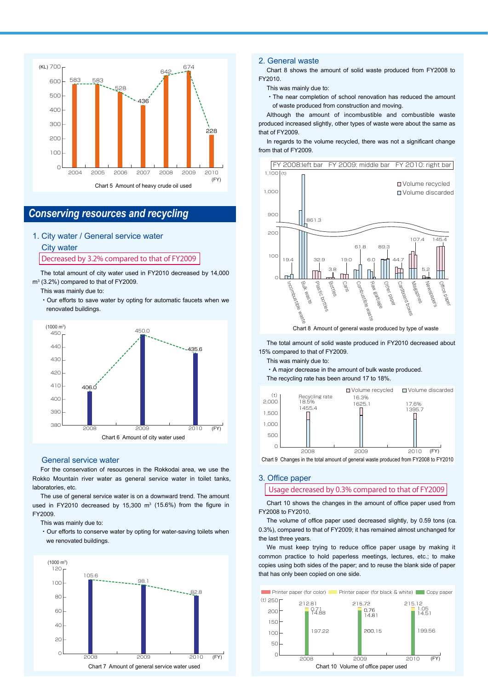

## *Conserving resources and recycling*

1. City water / General service water

### City water Decreased by 3.2% compared to that of FY2009

The total amount of city water used in FY2010 decreased by 14,000 m3 (3.2%) compared to that of FY2009.

This was mainly due to:

・Our efforts to save water by opting for automatic faucets when we renovated buildings.



#### General service water

For the conservation of resources in the Rokkodai area, we use the Rokko Mountain river water as general service water in toilet tanks, laboratories, etc.

The use of general service water is on a downward trend. The amount used in FY2010 decreased by 15,300  $m<sup>3</sup>$  (15.6%) from the figure in FY2009.

This was mainly due to:

・Our efforts to conserve water by opting for water-saving toilets when we renovated buildings.



#### 2. General waste

Chart 8 shows the amount of solid waste produced from FY2008 to FY2010.

This was mainly due to:

・The near completion of school renovation has reduced the amount of waste produced from construction and moving.

Although the amount of incombustible and combustible waste produced increased slightly, other types of waste were about the same as that of FY2009.

In regards to the volume recycled, there was not a significant change from that of FY2009.



Chart 8 Amount of general waste produced by type of waste

The total amount of solid waste produced in FY2010 decreased about 15% compared to that of FY2009.

This was mainly due to:

・A major decrease in the amount of bulk waste produced.

The recycling rate has been around 17 to 18%.



#### 3. Office paper

Usage decreased by 0.3% compared to that of FY2009

Chart 10 shows the changes in the amount of office paper used from FY2008 to FY2010.

The volume of office paper used decreased slightly, by 0.59 tons (ca. 0.3%), compared to that of FY2009; it has remained almost unchanged for the last three years.

We must keep trying to reduce office paper usage by making it common practice to hold paperless meetings, lectures, etc.; to make copies using both sides of the paper; and to reuse the blank side of paper that has only been copied on one side.